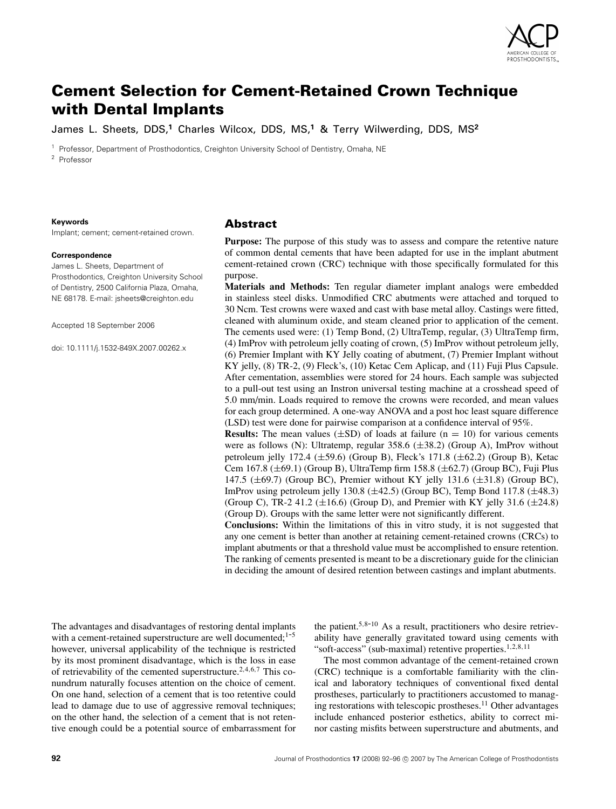

# **Cement Selection for Cement-Retained Crown Technique with Dental Implants**

James L. Sheets, DDS,**<sup>1</sup>** Charles Wilcox, DDS, MS,**<sup>1</sup>** & Terry Wilwerding, DDS, MS**<sup>2</sup>**

<sup>1</sup> Professor, Department of Prosthodontics, Creighton University School of Dentistry, Omaha, NE <sup>2</sup> Professor

#### **Keywords**

Implant; cement; cement-retained crown.

#### **Correspondence**

James L. Sheets, Department of Prosthodontics, Creighton University School of Dentistry, 2500 California Plaza, Omaha, NE 68178. E-mail: jsheets@creighton.edu

Accepted 18 September 2006

doi: 10.1111/j.1532-849X.2007.00262.x

## **Abstract**

**Purpose:** The purpose of this study was to assess and compare the retentive nature of common dental cements that have been adapted for use in the implant abutment cement-retained crown (CRC) technique with those specifically formulated for this purpose.

**Materials and Methods:** Ten regular diameter implant analogs were embedded in stainless steel disks. Unmodified CRC abutments were attached and torqued to 30 Ncm. Test crowns were waxed and cast with base metal alloy. Castings were fitted, cleaned with aluminum oxide, and steam cleaned prior to application of the cement. The cements used were: (1) Temp Bond, (2) UltraTemp, regular, (3) UltraTemp firm, (4) ImProv with petroleum jelly coating of crown, (5) ImProv without petroleum jelly, (6) Premier Implant with KY Jelly coating of abutment, (7) Premier Implant without KY jelly, (8) TR-2, (9) Fleck's, (10) Ketac Cem Aplicap, and (11) Fuji Plus Capsule. After cementation, assemblies were stored for 24 hours. Each sample was subjected to a pull-out test using an Instron universal testing machine at a crosshead speed of 5.0 mm/min. Loads required to remove the crowns were recorded, and mean values for each group determined. A one-way ANOVA and a post hoc least square difference (LSD) test were done for pairwise comparison at a confidence interval of 95%.

**Results:** The mean values  $(\pm SD)$  of loads at failure  $(n = 10)$  for various cements were as follows (N): Ultratemp, regular  $358.6 \ (\pm 38.2)$  (Group A), ImProv without petroleum jelly 172.4 ( $\pm$ 59.6) (Group B), Fleck's 171.8 ( $\pm$ 62.2) (Group B), Ketac Cem 167.8 ( $\pm$ 69.1) (Group B), UltraTemp firm 158.8 ( $\pm$ 62.7) (Group BC), Fuji Plus 147.5 ( $\pm$ 69.7) (Group BC), Premier without KY jelly 131.6 ( $\pm$ 31.8) (Group BC), ImProv using petroleum jelly 130.8  $(\pm 42.5)$  (Group BC), Temp Bond 117.8  $(\pm 48.3)$ (Group C), TR-2 41.2 ( $\pm 16.6$ ) (Group D), and Premier with KY jelly 31.6 ( $\pm 24.8$ ) (Group D). Groups with the same letter were not significantly different.

**Conclusions:** Within the limitations of this in vitro study, it is not suggested that any one cement is better than another at retaining cement-retained crowns (CRCs) to implant abutments or that a threshold value must be accomplished to ensure retention. The ranking of cements presented is meant to be a discretionary guide for the clinician in deciding the amount of desired retention between castings and implant abutments.

The advantages and disadvantages of restoring dental implants with a cement-retained superstructure are well documented; $1-5$ however, universal applicability of the technique is restricted by its most prominent disadvantage, which is the loss in ease of retrievability of the cemented superstructure.<sup>2,4,6,7</sup> This conundrum naturally focuses attention on the choice of cement. On one hand, selection of a cement that is too retentive could lead to damage due to use of aggressive removal techniques; on the other hand, the selection of a cement that is not retentive enough could be a potential source of embarrassment for the patient.<sup>5,8-10</sup> As a result, practitioners who desire retrievability have generally gravitated toward using cements with "soft-access" (sub-maximal) retentive properties.<sup>1,2,8,11</sup>

The most common advantage of the cement-retained crown (CRC) technique is a comfortable familiarity with the clinical and laboratory techniques of conventional fixed dental prostheses, particularly to practitioners accustomed to managing restorations with telescopic prostheses.<sup>11</sup> Other advantages include enhanced posterior esthetics, ability to correct minor casting misfits between superstructure and abutments, and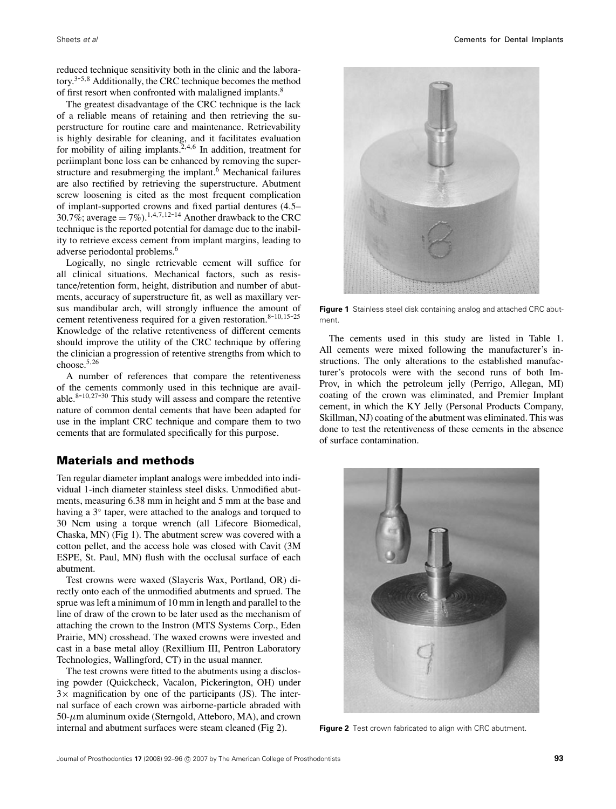reduced technique sensitivity both in the clinic and the laboratory.3-5,<sup>8</sup> Additionally, the CRC technique becomes the method of first resort when confronted with malaligned implants.<sup>8</sup>

The greatest disadvantage of the CRC technique is the lack of a reliable means of retaining and then retrieving the superstructure for routine care and maintenance. Retrievability is highly desirable for cleaning, and it facilitates evaluation for mobility of ailing implants.<sup>2,4,6</sup> In addition, treatment for periimplant bone loss can be enhanced by removing the superstructure and resubmerging the implant.<sup>6</sup> Mechanical failures are also rectified by retrieving the superstructure. Abutment screw loosening is cited as the most frequent complication of implant-supported crowns and fixed partial dentures (4.5– 30.7%; average  $= 7\%$ ).<sup>1,4,7,12-14</sup> Another drawback to the CRC technique is the reported potential for damage due to the inability to retrieve excess cement from implant margins, leading to adverse periodontal problems.6

Logically, no single retrievable cement will suffice for all clinical situations. Mechanical factors, such as resistance/retention form, height, distribution and number of abutments, accuracy of superstructure fit, as well as maxillary versus mandibular arch, will strongly influence the amount of cement retentiveness required for a given restoration. $8-10,15-25$ Knowledge of the relative retentiveness of different cements should improve the utility of the CRC technique by offering the clinician a progression of retentive strengths from which to choose. $5,26$ 

A number of references that compare the retentiveness of the cements commonly used in this technique are available. $8-10,27-30$  This study will assess and compare the retentive nature of common dental cements that have been adapted for use in the implant CRC technique and compare them to two cements that are formulated specifically for this purpose.

# **Materials and methods**

Ten regular diameter implant analogs were imbedded into individual 1-inch diameter stainless steel disks. Unmodified abutments, measuring 6.38 mm in height and 5 mm at the base and having a 3◦ taper, were attached to the analogs and torqued to 30 Ncm using a torque wrench (all Lifecore Biomedical, Chaska, MN) (Fig 1). The abutment screw was covered with a cotton pellet, and the access hole was closed with Cavit (3M ESPE, St. Paul, MN) flush with the occlusal surface of each abutment.

Test crowns were waxed (Slaycris Wax, Portland, OR) directly onto each of the unmodified abutments and sprued. The sprue was left a minimum of 10 mm in length and parallel to the line of draw of the crown to be later used as the mechanism of attaching the crown to the Instron (MTS Systems Corp., Eden Prairie, MN) crosshead. The waxed crowns were invested and cast in a base metal alloy (Rexillium III, Pentron Laboratory Technologies, Wallingford, CT) in the usual manner.

The test crowns were fitted to the abutments using a disclosing powder (Quickcheck, Vacalon, Pickerington, OH) under  $3\times$  magnification by one of the participants (JS). The internal surface of each crown was airborne-particle abraded with  $50-\mu$ m aluminum oxide (Sterngold, Atteboro, MA), and crown internal and abutment surfaces were steam cleaned (Fig 2).



**Figure 1** Stainless steel disk containing analog and attached CRC abutment.

The cements used in this study are listed in Table 1. All cements were mixed following the manufacturer's instructions. The only alterations to the established manufacturer's protocols were with the second runs of both Im-Prov, in which the petroleum jelly (Perrigo, Allegan, MI) coating of the crown was eliminated, and Premier Implant cement, in which the KY Jelly (Personal Products Company, Skillman, NJ) coating of the abutment was eliminated. This was done to test the retentiveness of these cements in the absence of surface contamination.



**Figure 2** Test crown fabricated to align with CRC abutment.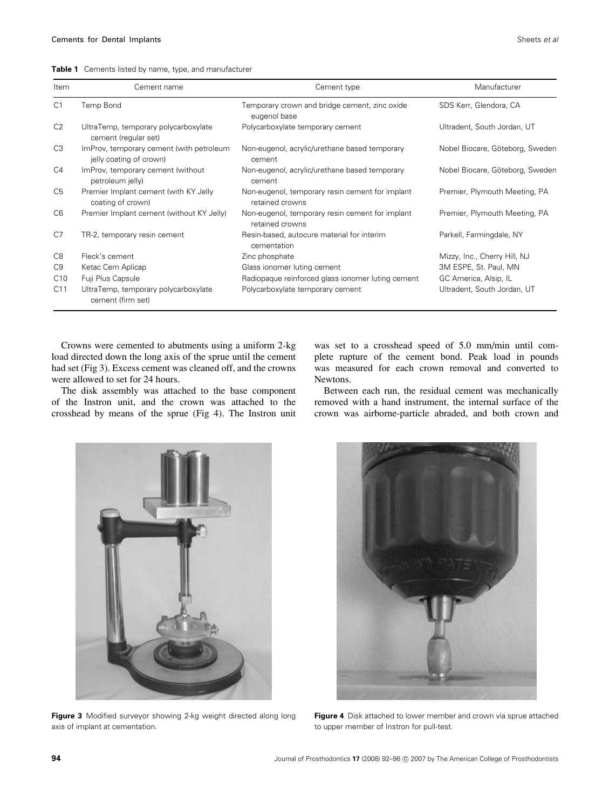|  |  | <b>Table 1</b> Cements listed by name, type, and manufacturer |  |  |  |  |  |  |
|--|--|---------------------------------------------------------------|--|--|--|--|--|--|
|--|--|---------------------------------------------------------------|--|--|--|--|--|--|

| Item            | Cement name                                                         | Cement type                                                        | Manufacturer                    |
|-----------------|---------------------------------------------------------------------|--------------------------------------------------------------------|---------------------------------|
| C <sub>1</sub>  | Temp Bond                                                           | Temporary crown and bridge cement, zinc oxide<br>eugenol base      | SDS Kerr, Glendora, CA          |
| C <sub>2</sub>  | UltraTemp, temporary polycarboxylate<br>cement (regular set)        | Polycarboxylate temporary cement                                   | Ultradent, South Jordan, UT     |
| C <sub>3</sub>  | ImProv, temporary cement (with petroleum<br>jelly coating of crown) | Non-eugenol, acrylic/urethane based temporary<br>cement            | Nobel Biocare, Göteborg, Sweden |
| C <sub>4</sub>  | ImProv, temporary cement (without<br>petroleum jelly)               | Non-eugenol, acrylic/urethane based temporary<br>cement            | Nobel Biocare, Göteborg, Sweden |
| C <sub>5</sub>  | Premier Implant cement (with KY Jelly<br>coating of crown)          | Non-eugenol, temporary resin cement for implant<br>retained crowns | Premier, Plymouth Meeting, PA   |
| C <sub>6</sub>  | Premier Implant cement (without KY Jelly)                           | Non-eugenol, temporary resin cement for implant<br>retained crowns | Premier, Plymouth Meeting, PA   |
| C <sub>7</sub>  | TR-2, temporary resin cement                                        | Resin-based, autocure material for interim<br>cementation          | Parkell, Farmingdale, NY        |
| C8              | Fleck's cement                                                      | Zinc phosphate                                                     | Mizzy, Inc., Cherry Hill, NJ    |
| C <sub>9</sub>  | Ketac Cem Aplicap                                                   | Glass ionomer luting cement                                        | 3M ESPE, St. Paul, MN           |
| C10             | Fuji Plus Capsule                                                   | Radiopaque reinforced glass ionomer luting cement                  | GC America, Alsip, IL           |
| C <sub>11</sub> | UltraTemp, temporary polycarboxylate<br>cement (firm set)           | Polycarboxylate temporary cement                                   | Ultradent, South Jordan, UT     |

Crowns were cemented to abutments using a uniform 2-kg load directed down the long axis of the sprue until the cement had set (Fig 3). Excess cement was cleaned off, and the crowns were allowed to set for 24 hours.

The disk assembly was attached to the base component of the Instron unit, and the crown was attached to the crosshead by means of the sprue (Fig 4). The Instron unit was set to a crosshead speed of 5.0 mm/min until complete rupture of the cement bond. Peak load in pounds was measured for each crown removal and converted to Newtons.

Between each run, the residual cement was mechanically removed with a hand instrument, the internal surface of the crown was airborne-particle abraded, and both crown and



**Figure 3** Modified surveyor showing 2-kg weight directed along long axis of implant at cementation.



**Figure 4** Disk attached to lower member and crown via sprue attached to upper member of Instron for pull-test.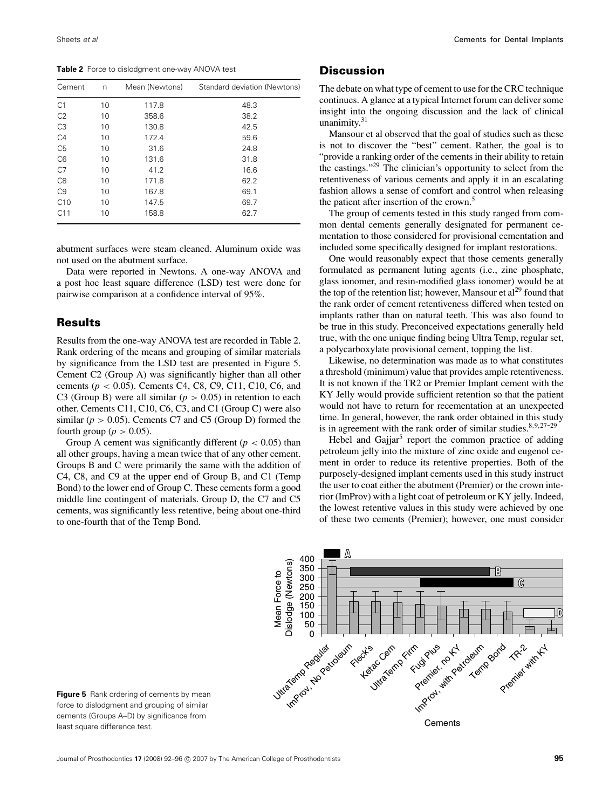**Table 2** Force to dislodgment one-way ANOVA test

| Cement          | n  | Mean (Newtons) | Standard deviation (Newtons) |
|-----------------|----|----------------|------------------------------|
| C <sub>1</sub>  | 10 | 117.8          | 48.3                         |
| C <sub>2</sub>  | 10 | 358.6          | 38.2                         |
| C <sub>3</sub>  | 10 | 130.8          | 42.5                         |
| C <sub>4</sub>  | 10 | 172.4          | 59.6                         |
| C <sub>5</sub>  | 10 | 31.6           | 24.8                         |
| C <sub>6</sub>  | 10 | 131.6          | 31.8                         |
| C7              | 10 | 41.2           | 16.6                         |
| C <sub>8</sub>  | 10 | 171.8          | 62.2                         |
| C <sub>9</sub>  | 10 | 167.8          | 69.1                         |
| C10             | 10 | 147.5          | 69.7                         |
| C <sub>11</sub> | 10 | 158.8          | 62.7                         |

abutment surfaces were steam cleaned. Aluminum oxide was not used on the abutment surface.

Data were reported in Newtons. A one-way ANOVA and a post hoc least square difference (LSD) test were done for pairwise comparison at a confidence interval of 95%.

## **Results**

Results from the one-way ANOVA test are recorded in Table 2. Rank ordering of the means and grouping of similar materials by significance from the LSD test are presented in Figure 5. Cement C2 (Group A) was significantly higher than all other cements (*p* < 0.05). Cements C4, C8, C9, C11, C10, C6, and C3 (Group B) were all similar  $(p > 0.05)$  in retention to each other. Cements C11, C10, C6, C3, and C1 (Group C) were also similar ( $p > 0.05$ ). Cements C7 and C5 (Group D) formed the fourth group ( $p > 0.05$ ).

Group A cement was significantly different  $(p < 0.05)$  than all other groups, having a mean twice that of any other cement. Groups B and C were primarily the same with the addition of C4, C8, and C9 at the upper end of Group B, and C1 (Temp Bond) to the lower end of Group C. These cements form a good middle line contingent of materials. Group D, the C7 and C5 cements, was significantly less retentive, being about one-third to one-fourth that of the Temp Bond.

### **Discussion**

The debate on what type of cement to use for the CRC technique continues. A glance at a typical Internet forum can deliver some insight into the ongoing discussion and the lack of clinical unanimity.<sup>31</sup>

Mansour et al observed that the goal of studies such as these is not to discover the "best" cement. Rather, the goal is to "provide a ranking order of the cements in their ability to retain the castings."29 The clinician's opportunity to select from the retentiveness of various cements and apply it in an escalating fashion allows a sense of comfort and control when releasing the patient after insertion of the crown.<sup>5</sup>

The group of cements tested in this study ranged from common dental cements generally designated for permanent cementation to those considered for provisional cementation and included some specifically designed for implant restorations.

One would reasonably expect that those cements generally formulated as permanent luting agents (i.e., zinc phosphate, glass ionomer, and resin-modified glass ionomer) would be at the top of the retention list; however, Mansour et  $al^{29}$  found that the rank order of cement retentiveness differed when tested on implants rather than on natural teeth. This was also found to be true in this study. Preconceived expectations generally held true, with the one unique finding being Ultra Temp, regular set, a polycarboxylate provisional cement, topping the list.

Likewise, no determination was made as to what constitutes a threshold (minimum) value that provides ample retentiveness. It is not known if the TR2 or Premier Implant cement with the KY Jelly would provide sufficient retention so that the patient would not have to return for recementation at an unexpected time. In general, however, the rank order obtained in this study is in agreement with the rank order of similar studies. $8,9,27-29$ 

Hebel and Gajjar<sup>5</sup> report the common practice of adding petroleum jelly into the mixture of zinc oxide and eugenol cement in order to reduce its retentive properties. Both of the purposely-designed implant cements used in this study instruct the user to coat either the abutment (Premier) or the crown interior (ImProv) with a light coat of petroleum or KY jelly. Indeed, the lowest retentive values in this study were achieved by one of these two cements (Premier); however, one must consider



**Figure 5** Rank ordering of cements by mean force to dislodgment and grouping of similar cements (Groups A–D) by significance from least square difference test.